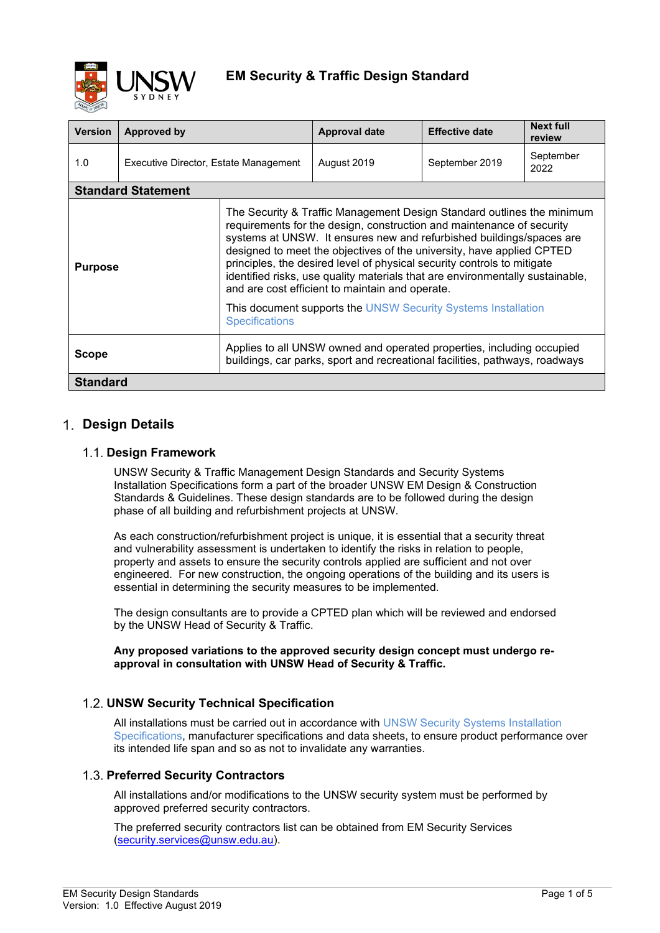

| <b>Version</b>  | <b>Approved by</b>                    |                                                                                                                                                                                                                                                                                                                                                                                                                                                                                                                                                                                                           | <b>Approval date</b> | <b>Effective date</b> | <b>Next full</b><br>review |  |
|-----------------|---------------------------------------|-----------------------------------------------------------------------------------------------------------------------------------------------------------------------------------------------------------------------------------------------------------------------------------------------------------------------------------------------------------------------------------------------------------------------------------------------------------------------------------------------------------------------------------------------------------------------------------------------------------|----------------------|-----------------------|----------------------------|--|
| 1.0             | Executive Director, Estate Management |                                                                                                                                                                                                                                                                                                                                                                                                                                                                                                                                                                                                           | August 2019          | September 2019        | September<br>2022          |  |
|                 | <b>Standard Statement</b>             |                                                                                                                                                                                                                                                                                                                                                                                                                                                                                                                                                                                                           |                      |                       |                            |  |
| <b>Purpose</b>  |                                       | The Security & Traffic Management Design Standard outlines the minimum<br>requirements for the design, construction and maintenance of security<br>systems at UNSW. It ensures new and refurbished buildings/spaces are<br>designed to meet the objectives of the university, have applied CPTED<br>principles, the desired level of physical security controls to mitigate<br>identified risks, use quality materials that are environmentally sustainable,<br>and are cost efficient to maintain and operate.<br>This document supports the UNSW Security Systems Installation<br><b>Specifications</b> |                      |                       |                            |  |
| <b>Scope</b>    |                                       | Applies to all UNSW owned and operated properties, including occupied<br>buildings, car parks, sport and recreational facilities, pathways, roadways                                                                                                                                                                                                                                                                                                                                                                                                                                                      |                      |                       |                            |  |
| <b>Standard</b> |                                       |                                                                                                                                                                                                                                                                                                                                                                                                                                                                                                                                                                                                           |                      |                       |                            |  |

## **Design Details**

### **Design Framework**

UNSW Security & Traffic Management Design Standards and Security Systems Installation Specifications form a part of the broader UNSW EM Design & Construction Standards & Guidelines. These design standards are to be followed during the design phase of all building and refurbishment projects at UNSW.

As each construction/refurbishment project is unique, it is essential that a security threat and vulnerability assessment is undertaken to identify the risks in relation to people, property and assets to ensure the security controls applied are sufficient and not over engineered. For new construction, the ongoing operations of the building and its users is essential in determining the security measures to be implemented.

The design consultants are to provide a CPTED plan which will be reviewed and endorsed by the UNSW Head of Security & Traffic.

#### **Any proposed variations to the approved security design concept must undergo reapproval in consultation with UNSW Head of Security & Traffic.**

## **UNSW Security Technical Specification**

All installations must be carried out in accordance with UNSW Security Systems Installation Specifications, manufacturer specifications and data sheets, to ensure product performance over its intended life span and so as not to invalidate any warranties.

## **Preferred Security Contractors**

All installations and/or modifications to the UNSW security system must be performed by approved preferred security contractors.

 $\_$  , and the state of the state of the state of the state of the state of the state of the state of the state of the state of the state of the state of the state of the state of the state of the state of the state of the

The preferred security contractors list can be obtained from EM Security Services [\(security.services@unsw.edu.au\)](mailto:security.services@unsw.edu.au).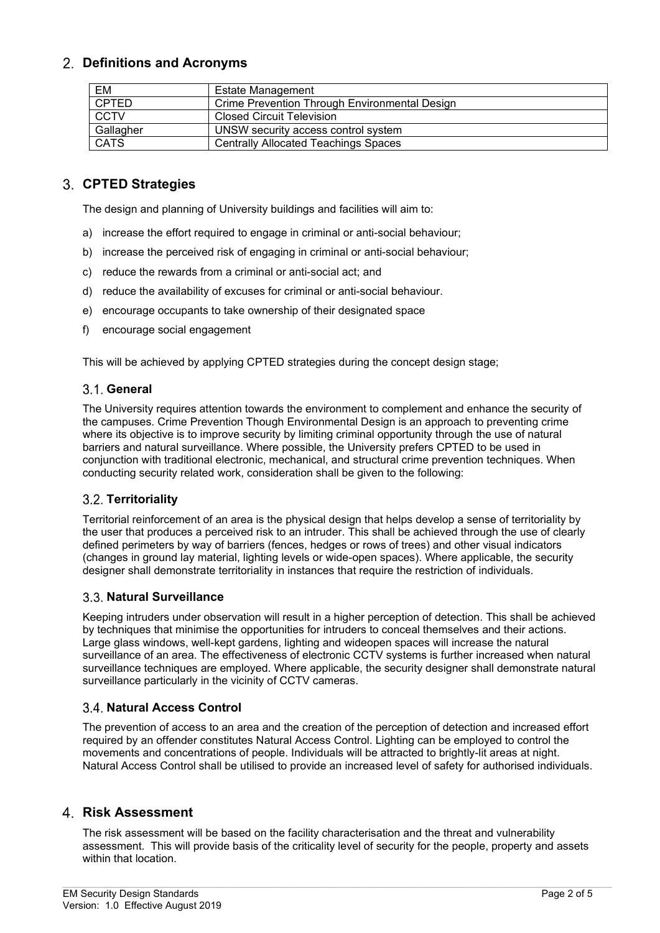## **Definitions and Acronyms**

| EM           | <b>Estate Management</b>                      |
|--------------|-----------------------------------------------|
| <b>CPTED</b> | Crime Prevention Through Environmental Design |
| <b>CCTV</b>  | <b>Closed Circuit Television</b>              |
| Gallagher    | UNSW security access control system           |
| <b>CATS</b>  | <b>Centrally Allocated Teachings Spaces</b>   |

## **CPTED Strategies**

The design and planning of University buildings and facilities will aim to:

- a) increase the effort required to engage in criminal or anti-social behaviour;
- b) increase the perceived risk of engaging in criminal or anti-social behaviour;
- c) reduce the rewards from a criminal or anti-social act; and
- d) reduce the availability of excuses for criminal or anti-social behaviour.
- e) encourage occupants to take ownership of their designated space
- f) encourage social engagement

This will be achieved by applying CPTED strategies during the concept design stage;

#### **General**

The University requires attention towards the environment to complement and enhance the security of the campuses. Crime Prevention Though Environmental Design is an approach to preventing crime where its objective is to improve security by limiting criminal opportunity through the use of natural barriers and natural surveillance. Where possible, the University prefers CPTED to be used in conjunction with traditional electronic, mechanical, and structural crime prevention techniques. When conducting security related work, consideration shall be given to the following:

#### **Territoriality**

Territorial reinforcement of an area is the physical design that helps develop a sense of territoriality by the user that produces a perceived risk to an intruder. This shall be achieved through the use of clearly defined perimeters by way of barriers (fences, hedges or rows of trees) and other visual indicators (changes in ground lay material, lighting levels or wide-open spaces). Where applicable, the security designer shall demonstrate territoriality in instances that require the restriction of individuals.

## **Natural Surveillance**

Keeping intruders under observation will result in a higher perception of detection. This shall be achieved by techniques that minimise the opportunities for intruders to conceal themselves and their actions. Large glass windows, well-kept gardens, lighting and wideopen spaces will increase the natural surveillance of an area. The effectiveness of electronic CCTV systems is further increased when natural surveillance techniques are employed. Where applicable, the security designer shall demonstrate natural surveillance particularly in the vicinity of CCTV cameras.

## **Natural Access Control**

The prevention of access to an area and the creation of the perception of detection and increased effort required by an offender constitutes Natural Access Control. Lighting can be employed to control the movements and concentrations of people. Individuals will be attracted to brightly-lit areas at night. Natural Access Control shall be utilised to provide an increased level of safety for authorised individuals.

#### **Risk Assessment**

The risk assessment will be based on the facility characterisation and the threat and vulnerability assessment. This will provide basis of the criticality level of security for the people, property and assets within that location.

 $\_$  , and the state of the state of the state of the state of the state of the state of the state of the state of the state of the state of the state of the state of the state of the state of the state of the state of the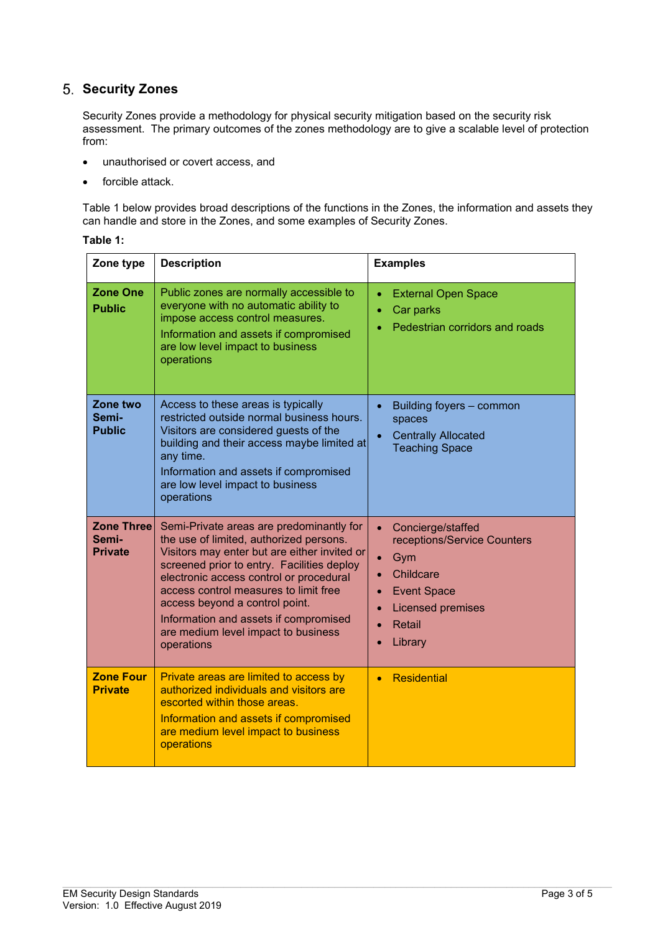# **Security Zones**

Security Zones provide a methodology for physical security mitigation based on the security risk assessment. The primary outcomes of the zones methodology are to give a scalable level of protection from:

- unauthorised or covert access, and
- forcible attack.

[Table 1](#page-2-0) below provides broad descriptions of the functions in the Zones, the information and assets they can handle and store in the Zones, and some examples of Security Zones.

<span id="page-2-0"></span>

| able |  |
|------|--|
|------|--|

| Zone type                                    | <b>Description</b>                                                                                                                                                                                                                                                                                                                                                                                    | <b>Examples</b>                                                                                                                                                                                                                        |
|----------------------------------------------|-------------------------------------------------------------------------------------------------------------------------------------------------------------------------------------------------------------------------------------------------------------------------------------------------------------------------------------------------------------------------------------------------------|----------------------------------------------------------------------------------------------------------------------------------------------------------------------------------------------------------------------------------------|
| <b>Zone One</b><br><b>Public</b>             | Public zones are normally accessible to<br>everyone with no automatic ability to<br>impose access control measures.<br>Information and assets if compromised<br>are low level impact to business<br>operations                                                                                                                                                                                        | <b>External Open Space</b><br>$\bullet$<br>Car parks<br>$\bullet$<br>Pedestrian corridors and roads                                                                                                                                    |
| Zone two<br>Semi-<br><b>Public</b>           | Access to these areas is typically<br>restricted outside normal business hours.<br>Visitors are considered guests of the<br>building and their access maybe limited at<br>any time.<br>Information and assets if compromised<br>are low level impact to business<br>operations                                                                                                                        | Building foyers - common<br>$\bullet$<br>spaces<br><b>Centrally Allocated</b><br><b>Teaching Space</b>                                                                                                                                 |
| <b>Zone Three</b><br>Semi-<br><b>Private</b> | Semi-Private areas are predominantly for<br>the use of limited, authorized persons.<br>Visitors may enter but are either invited or<br>screened prior to entry. Facilities deploy<br>electronic access control or procedural<br>access control measures to limit free<br>access beyond a control point.<br>Information and assets if compromised<br>are medium level impact to business<br>operations | Concierge/staffed<br>$\bullet$<br>receptions/Service Counters<br>Gym<br>$\bullet$<br>Childcare<br>$\bullet$<br><b>Event Space</b><br>$\bullet$<br><b>Licensed premises</b><br>$\bullet$<br>Retail<br>$\bullet$<br>Library<br>$\bullet$ |
| <b>Zone Four</b><br><b>Private</b>           | Private areas are limited to access by<br>authorized individuals and visitors are<br>escorted within those areas.<br>Information and assets if compromised<br>are medium level impact to business<br>operations                                                                                                                                                                                       | <b>Residential</b><br>$\bullet$                                                                                                                                                                                                        |

 $\_$  , and the state of the state of the state of the state of the state of the state of the state of the state of the state of the state of the state of the state of the state of the state of the state of the state of the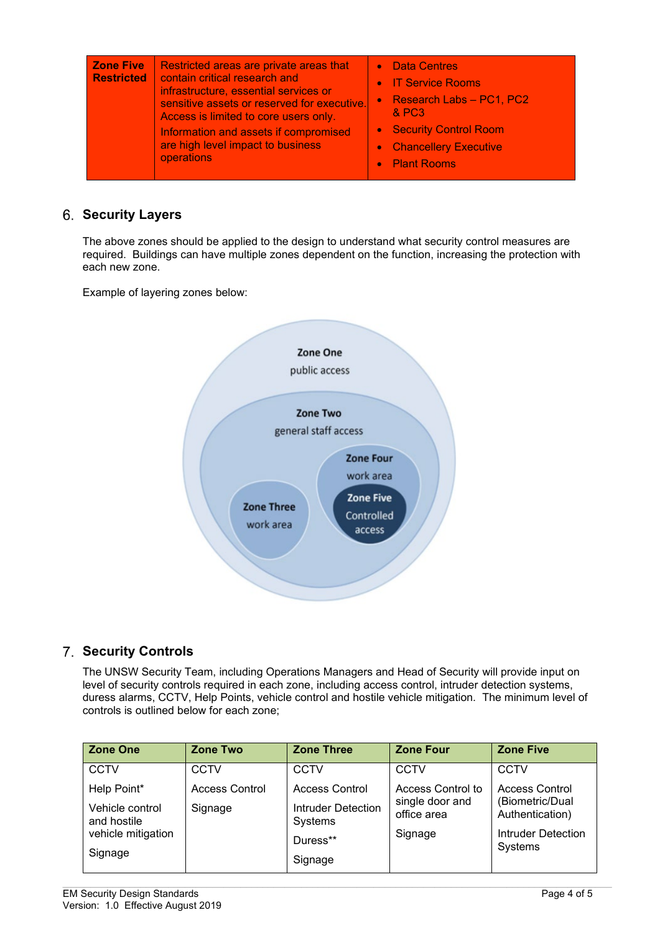| <b>Zone Five</b><br><b>Restricted</b> | Restricted areas are private areas that<br>contain critical research and<br>infrastructure, essential services or<br>sensitive assets or reserved for executive.<br>Access is limited to core users only.<br>Information and assets if compromised<br>are high level impact to business<br>operations | • Data Centres<br>• IT Service Rooms<br>• Research Labs - PC1, PC2<br><b>&amp; PC3</b><br>• Security Control Room<br>• Chancellery Executive<br>• Plant Rooms |
|---------------------------------------|-------------------------------------------------------------------------------------------------------------------------------------------------------------------------------------------------------------------------------------------------------------------------------------------------------|---------------------------------------------------------------------------------------------------------------------------------------------------------------|
|---------------------------------------|-------------------------------------------------------------------------------------------------------------------------------------------------------------------------------------------------------------------------------------------------------------------------------------------------------|---------------------------------------------------------------------------------------------------------------------------------------------------------------|

# **Security Layers**

The above zones should be applied to the design to understand what security control measures are required. Buildings can have multiple zones dependent on the function, increasing the protection with each new zone.

Example of layering zones below:



## **Security Controls**

The UNSW Security Team, including Operations Managers and Head of Security will provide input on level of security controls required in each zone, including access control, intruder detection systems, duress alarms, CCTV, Help Points, vehicle control and hostile vehicle mitigation. The minimum level of controls is outlined below for each zone;

| <b>Zone One</b>                | <b>Zone Two</b>       | <b>Zone Three</b>                    | <b>Zone Four</b>               | <b>Zone Five</b>                         |
|--------------------------------|-----------------------|--------------------------------------|--------------------------------|------------------------------------------|
| <b>CCTV</b>                    | <b>CCTV</b>           | <b>CCTV</b>                          | CCTV                           | <b>CCTV</b>                              |
| Help Point*                    | <b>Access Control</b> | <b>Access Control</b>                | Access Control to              | <b>Access Control</b><br>(Biometric/Dual |
| Vehicle control<br>and hostile | Signage               | <b>Intruder Detection</b><br>Systems | single door and<br>office area | Authentication)                          |
| vehicle mitigation             |                       | Duress**                             | Signage                        | Intruder Detection<br>Systems            |
| Signage                        |                       | Signage                              |                                |                                          |